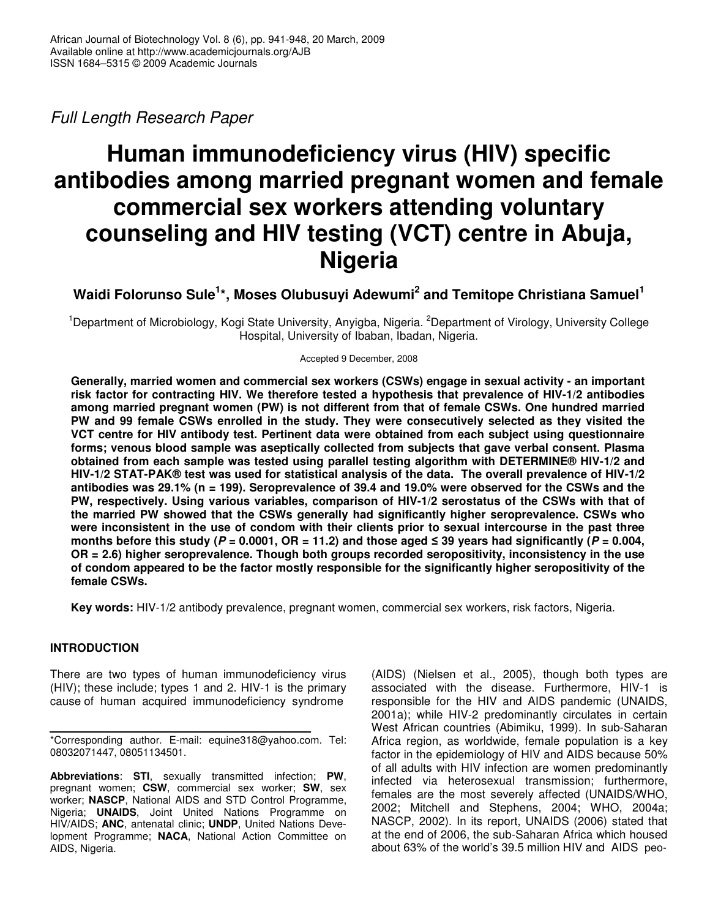*Full Length Research Paper*

# **Human immunodeficiency virus (HIV) specific antibodies among married pregnant women and female commercial sex workers attending voluntary counseling and HIV testing (VCT) centre in Abuja, Nigeria**

**Waidi Folorunso Sule 1 \*, Moses Olubusuyi Adewumi 2 and Temitope Christiana Samuel 1**

<sup>1</sup>Department of Microbiology, Kogi State University, Anyigba, Nigeria. <sup>2</sup>Department of Virology, University College Hospital, University of Ibaban, Ibadan, Nigeria.

Accepted 9 December, 2008

**Generally, married women and commercial sex workers (CSWs) engage in sexual activity - an important risk factor for contracting HIV. We therefore tested a hypothesis that prevalence of HIV-1/2 antibodies among married pregnant women (PW) is not different from that of female CSWs. One hundred married PW and 99 female CSWs enrolled in the study. They were consecutively selected as they visited the VCT centre for HIV antibody test. Pertinent data were obtained from each subject using questionnaire forms; venous blood sample was aseptically collected from subjects that gave verbal consent. Plasma obtained from each sample was tested using parallel testing algorithm with DETERMINE® HIV-1/2 and HIV-1/2 STAT-PAK® test was used for statistical analysis of the data. The overall prevalence of HIV-1/2** antibodies was 29.1% (n = 199). Seroprevalence of 39.4 and 19.0% were observed for the CSWs and the **PW, respectively. Using various variables, comparison of HIV-1/2 serostatus of the CSWs with that of the married PW showed that the CSWs generally had significantly higher seroprevalence. CSWs who** were inconsistent in the use of condom with their clients prior to sexual intercourse in the past three months before this study (P = 0.0001, OR = 11.2) and those aged  $\leq$  39 years had significantly (P = 0.004, **OR = 2.6) higher seroprevalence. Though both groups recorded seropositivity, inconsistency in the use of condom appeared to be the factor mostly responsible for the significantly higher seropositivity of the female CSWs.**

**Key words:** HIV-1/2 antibody prevalence, pregnant women, commercial sex workers, risk factors, Nigeria.

# **INTRODUCTION**

There are two types of human immunodeficiency virus (HIV); these include; types 1 and 2. HIV-1 is the primary cause of human acquired immunodeficiency syndrome

**Abbreviations**: **STI**, sexually transmitted infection; **PW**, pregnant women; **CSW**, commercial sex worker; **SW**, sex worker; **NASCP**, National AIDS and STD Control Programme, Nigeria; **UNAIDS**, Joint United Nations Programme on HIV/AIDS; **ANC**, antenatal clinic; **UNDP**, United Nations Development Programme; **NACA**, National Action Committee on AIDS, Nigeria.

(AIDS) (Nielsen et al., 2005), though both types are associated with the disease. Furthermore, HIV-1 is responsible for the HIV and AIDS pandemic (UNAIDS, 2001a); while HIV-2 predominantly circulates in certain West African countries (Abimiku, 1999). In sub-Saharan Africa region, as worldwide, female population is a key factor in the epidemiology of HIV and AIDS because 50% of all adults with HIV infection are women predominantly infected via heterosexual transmission; furthermore, females are the most severely affected (UNAIDS/WHO, 2002; Mitchell and Stephens, 2004; WHO, 2004a; NASCP, 2002). In its report, UNAIDS (2006) stated that at the end of 2006, the sub-Saharan Africa which housed about 63% of the world's 39.5 million HIV and AIDS peo-

<sup>\*</sup>Corresponding author. E-mail: equine318@yahoo.com. Tel: 08032071447, 08051134501.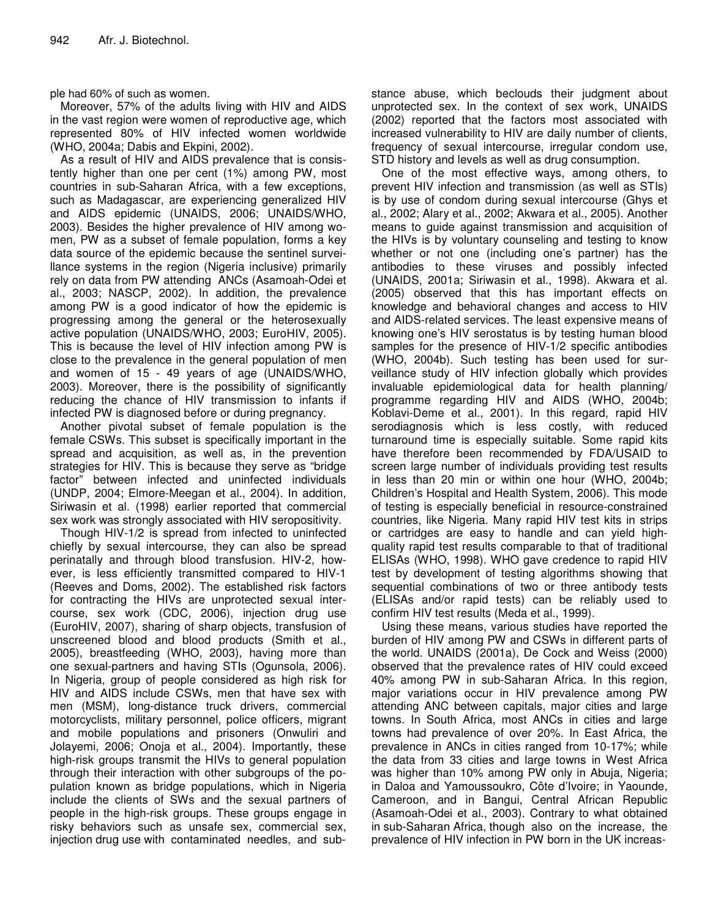ple had 60% of such as women.

Moreover, 57% of the adults living with HIV and AIDS in the vast region were women of reproductive age, which represented 80% of HIV infected women worldwide (WHO, 2004a; Dabis and Ekpini, 2002).

As a result of HIV and AIDS prevalence that is consistently higher than one per cent (1%) among PW, most countries in sub-Saharan Africa, with a few exceptions, such as Madagascar, are experiencing generalized HIV and AIDS epidemic (UNAIDS, 2006; UNAIDS/WHO, 2003). Besides the higher prevalence of HIV among women, PW as a subset of female population, forms a key data source of the epidemic because the sentinel surveillance systems in the region (Nigeria inclusive) primarily rely on data from PW attending ANCs (Asamoah-Odei et al., 2003; NASCP, 2002). In addition, the prevalence among PW is a good indicator of how the epidemic is progressing among the general or the heterosexually active population (UNAIDS/WHO, 2003; EuroHIV, 2005). This is because the level of HIV infection among PW is close to the prevalence in the general population of men and women of 15 - 49 years of age (UNAIDS/WHO, 2003). Moreover, there is the possibility of significantly reducing the chance of HIV transmission to infants if infected PW is diagnosed before or during pregnancy.

Another pivotal subset of female population is the female CSWs. This subset is specifically important in the spread and acquisition, as well as, in the prevention strategies for HIV. This is because they serve as "bridge factor" between infected and uninfected individuals (UNDP, 2004; Elmore-Meegan et al., 2004). In addition, Siriwasin et al. (1998) earlier reported that commercial sex work was strongly associated with HIV seropositivity.

Though HIV-1/2 is spread from infected to uninfected chiefly by sexual intercourse, they can also be spread perinatally and through blood transfusion. HIV-2, however, is less efficiently transmitted compared to HIV-1 (Reeves and Doms, 2002). The established risk factors for contracting the HIVs are unprotected sexual intercourse, sex work (CDC, 2006), injection drug use (EuroHIV, 2007), sharing of sharp objects, transfusion of unscreened blood and blood products (Smith et al., 2005), breastfeeding (WHO, 2003), having more than one sexual-partners and having STIs (Ogunsola, 2006). In Nigeria, group of people considered as high risk for HIV and AIDS include CSWs, men that have sex with men (MSM), long-distance truck drivers, commercial motorcyclists, military personnel, police officers, migrant and mobile populations and prisoners (Onwuliri and Jolayemi, 2006; Onoja et al., 2004). Importantly, these high-risk groups transmit the HIVs to general population through their interaction with other subgroups of the population known as bridge populations, which in Nigeria include the clients of SWs and the sexual partners of people in the high-risk groups. These groups engage in risky behaviors such as unsafe sex, commercial sex, injection drug use with contaminated needles, and substance abuse, which beclouds their judgment about unprotected sex. In the context of sex work, UNAIDS (2002) reported that the factors most associated with increased vulnerability to HIV are daily number of clients, frequency of sexual intercourse, irregular condom use, STD history and levels as well as drug consumption.

One of the most effective ways, among others, to prevent HIV infection and transmission (as well as STIs) is by use of condom during sexual intercourse (Ghys et al., 2002; Alary et al., 2002; Akwara et al., 2005). Another means to guide against transmission and acquisition of the HIVs is by voluntary counseling and testing to know whether or not one (including one's partner) has the antibodies to these viruses and possibly infected (UNAIDS, 2001a; Siriwasin et al., 1998). Akwara et al. (2005) observed that this has important effects on knowledge and behavioral changes and access to HIV and AIDS-related services. The least expensive means of knowing one's HIV serostatus is by testing human blood samples for the presence of HIV-1/2 specific antibodies (WHO, 2004b). Such testing has been used for surveillance study of HIV infection globally which provides invaluable epidemiological data for health planning/ programme regarding HIV and AIDS (WHO, 2004b; Koblavi-Deme et al., 2001). In this regard, rapid HIV serodiagnosis which is less costly, with reduced turnaround time is especially suitable. Some rapid kits have therefore been recommended by FDA/USAID to screen large number of individuals providing test results in less than 20 min or within one hour (WHO, 2004b; Children's Hospital and Health System, 2006). This mode of testing is especially beneficial in resource-constrained countries, like Nigeria. Many rapid HIV test kits in strips or cartridges are easy to handle and can yield highquality rapid test results comparable to that of traditional ELISAs (WHO, 1998). WHO gave credence to rapid HIV test by development of testing algorithms showing that sequential combinations of two or three antibody tests (ELISAs and/or rapid tests) can be reliably used to confirm HIV test results (Meda et al., 1999).

Using these means, various studies have reported the burden of HIV among PW and CSWs in different parts of the world. UNAIDS (2001a), De Cock and Weiss (2000) observed that the prevalence rates of HIV could exceed 40% among PW in sub-Saharan Africa. In this region, major variations occur in HIV prevalence among PW attending ANC between capitals, major cities and large towns. In South Africa, most ANCs in cities and large towns had prevalence of over 20%. In East Africa, the prevalence in ANCs in cities ranged from 10-17%; while the data from 33 cities and large towns in West Africa was higher than 10% among PW only in Abuja, Nigeria; in Daloa and Yamoussoukro, Côte d'Ivoire; in Yaounde, Cameroon, and in Bangui, Central African Republic (Asamoah-Odei et al., 2003). Contrary to what obtained in sub-Saharan Africa, though also on the increase, the prevalence of HIV infection in PW born in the UK increas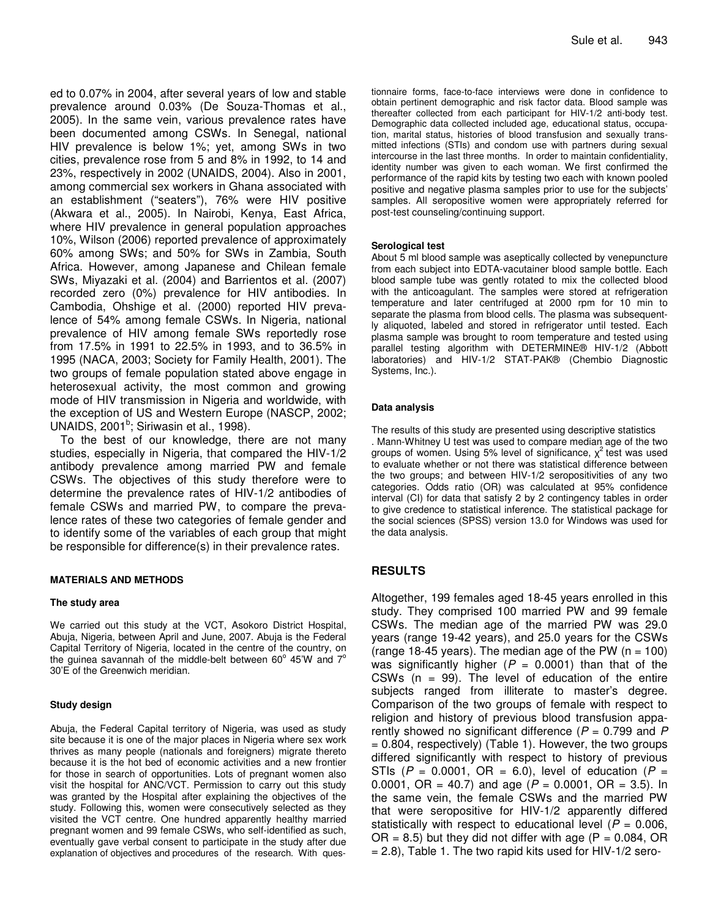ed to 0.07% in 2004, after several years of low and stable prevalence around 0.03% (De Souza-Thomas et al., 2005). In the same vein, various prevalence rates have been documented among CSWs. In Senegal, national HIV prevalence is below 1%; yet, among SWs in two cities, prevalence rose from 5 and 8% in 1992, to 14 and 23%, respectively in 2002 (UNAIDS, 2004). Also in 2001, among commercial sex workers in Ghana associated with an establishment ("seaters"), 76% were HIV positive (Akwara et al., 2005). In Nairobi, Kenya, East Africa, where HIV prevalence in general population approaches 10%, Wilson (2006) reported prevalence of approximately 60% among SWs; and 50% for SWs in Zambia, South Africa. However, among Japanese and Chilean female SWs, Miyazaki et al. (2004) and Barrientos et al. (2007) recorded zero (0%) prevalence for HIV antibodies. In Cambodia, Ohshige et al. (2000) reported HIV prevalence of 54% among female CSWs. In Nigeria, national prevalence of HIV among female SWs reportedly rose from 17.5% in 1991 to 22.5% in 1993, and to 36.5% in 1995 (NACA, 2003; Society for Family Health, 2001). The two groups of female population stated above engage in heterosexual activity, the most common and growing mode of HIV transmission in Nigeria and worldwide, with the exception of US and Western Europe (NASCP, 2002; UNAIDS, 2001<sup>b</sup>; Siriwasin et al., 1998).

To the best of our knowledge, there are not many studies, especially in Nigeria, that compared the HIV-1/2 antibody prevalence among married PW and female CSWs. The objectives of this study therefore were to determine the prevalence rates of HIV-1/2 antibodies of female CSWs and married PW, to compare the prevalence rates of these two categories of female gender and to identify some of the variables of each group that might be responsible for difference(s) in their prevalence rates.

#### **MATERIALS AND METHODS**

#### **The study area**

We carried out this study at the VCT, Asokoro District Hospital, Abuja, Nigeria, between April and June, 2007. Abuja is the Federal Capital Territory of Nigeria, located in the centre of the country, on the guinea savannah of the middle-belt between 60 $^{\circ}$  45'W and 7 $^{\circ}$ 30'E of the Greenwich meridian.

#### **Study design**

Abuja, the Federal Capital territory of Nigeria, was used as study site because it is one of the major places in Nigeria where sex work thrives as many people (nationals and foreigners) migrate thereto because it is the hot bed of economic activities and a new frontier for those in search of opportunities. Lots of pregnant women also visit the hospital for ANC/VCT. Permission to carry out this study was granted by the Hospital after explaining the objectives of the study. Following this, women were consecutively selected as they visited the VCT centre. One hundred apparently healthy married pregnant women and 99 female CSWs, who self-identified as such, eventually gave verbal consent to participate in the study after due explanation of objectives and procedures of the research. With ques-

tionnaire forms, face-to-face interviews were done in confidence to obtain pertinent demographic and risk factor data. Blood sample was thereafter collected from each participant for HIV-1/2 anti-body test. Demographic data collected included age, educational status, occupation, marital status, histories of blood transfusion and sexually transmitted infections (STIs) and condom use with partners during sexual intercourse in the last three months. In order to maintain confidentiality, identity number was given to each woman. We first confirmed the performance of the rapid kits by testing two each with known pooled positive and negative plasma samples prior to use for the subjects' samples. All seropositive women were appropriately referred for post-test counseling/continuing support.

#### **Serological test**

About 5 ml blood sample was aseptically collected by venepuncture from each subject into EDTA-vacutainer blood sample bottle. Each blood sample tube was gently rotated to mix the collected blood with the anticoagulant. The samples were stored at refrigeration temperature and later centrifuged at 2000 rpm for 10 min to separate the plasma from blood cells. The plasma was subsequently aliquoted, labeled and stored in refrigerator until tested. Each plasma sample was brought to room temperature and tested using parallel testing algorithm with DETERMINE® HIV-1/2 (Abbott laboratories) and HIV-1/2 STAT-PAK® (Chembio Diagnostic Systems, Inc.).

#### **Data analysis**

The results of this study are presented using descriptive statistics . Mann-Whitney U test was used to compare median age of the two groups of women. Using 5% level of significance,  $\chi^2$  test was used to evaluate whether or not there was statistical difference between the two groups; and between HIV-1/2 seropositivities of any two categories. Odds ratio (OR) was calculated at 95% confidence interval (CI) for data that satisfy 2 by 2 contingency tables in order to give credence to statistical inference. The statistical package for the social sciences (SPSS) version 13.0 for Windows was used for the data analysis.

## **RESULTS**

Altogether, 199 females aged 18-45 years enrolled in this study. They comprised 100 married PW and 99 female CSWs. The median age of the married PW was 29.0 years (range 19-42 years), and 25.0 years for the CSWs (range 18-45 years). The median age of the PW  $(n = 100)$ was significantly higher ( $P = 0.0001$ ) than that of the CSWs  $(n = 99)$ . The level of education of the entire subjects ranged from illiterate to master's degree. Comparison of the two groups of female with respect to religion and history of previous blood transfusion apparently showed no significant difference (*P* = 0.799 and *P*  $= 0.804$ , respectively) (Table 1). However, the two groups differed significantly with respect to history of previous STIs ( $P = 0.0001$ , OR = 6.0), level of education ( $P =$ 0.0001, OR = 40.7) and age ( $P = 0.0001$ , OR = 3.5). In the same vein, the female CSWs and the married PW that were seropositive for HIV-1/2 apparently differed statistically with respect to educational level ( $P = 0.006$ ,  $OR = 8.5$ ) but they did not differ with age ( $P = 0.084$ , OR  $= 2.8$ ), Table 1. The two rapid kits used for HIV-1/2 sero-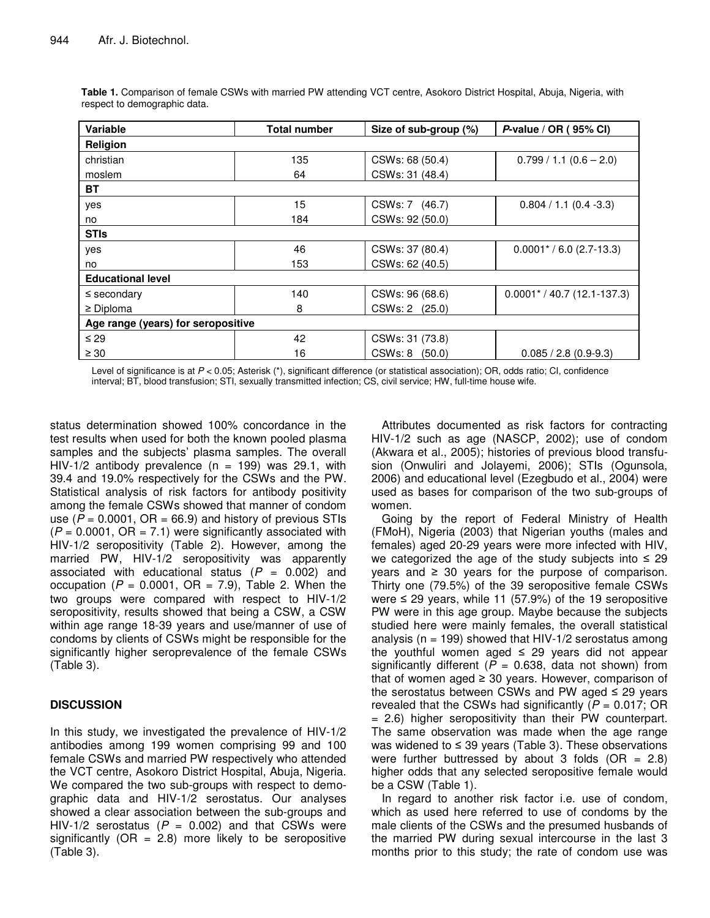| Variable                           | <b>Total number</b> | Size of sub-group (%) | P-value / OR (95% CI)          |  |  |
|------------------------------------|---------------------|-----------------------|--------------------------------|--|--|
| Religion                           |                     |                       |                                |  |  |
| christian                          | 135                 | CSWs: 68 (50.4)       | $0.799 / 1.1 (0.6 - 2.0)$      |  |  |
| moslem                             | 64                  | CSWs: 31 (48.4)       |                                |  |  |
| BT                                 |                     |                       |                                |  |  |
| yes                                | 15                  | CSWs: 7 (46.7)        | $0.804 / 1.1 (0.4 - 3.3)$      |  |  |
| no                                 | 184                 | CSWs: 92 (50.0)       |                                |  |  |
| <b>STIs</b>                        |                     |                       |                                |  |  |
| yes                                | 46                  | CSWs: 37 (80.4)       | $0.0001* / 6.0 (2.7-13.3)$     |  |  |
| no                                 | 153                 | CSWs: 62 (40.5)       |                                |  |  |
| <b>Educational level</b>           |                     |                       |                                |  |  |
| $\le$ secondary                    | 140                 | CSWs: 96 (68.6)       | $0.0001$ * / 40.7 (12.1-137.3) |  |  |
| $\geq$ Diploma                     | 8                   | CSWs: 2 (25.0)        |                                |  |  |
| Age range (years) for seropositive |                     |                       |                                |  |  |
| $\leq$ 29                          | 42                  | CSWs: 31 (73.8)       |                                |  |  |
| $\geq 30$                          | 16                  | CSWs: 8<br>(50.0)     | $0.085 / 2.8 (0.9-9.3)$        |  |  |

**Table 1.** Comparison of female CSWs with married PW attending VCT centre, Asokoro District Hospital, Abuja, Nigeria, with respect to demographic data.

Level of significance is at  $P < 0.05$ ; Asterisk (\*), significant difference (or statistical association); OR, odds ratio; CI, confidence interval; BT, blood transfusion; STI, sexually transmitted infection; CS, civil service; HW, full-time house wife.

status determination showed 100% concordance in the test results when used for both the known pooled plasma samples and the subjects' plasma samples. The overall HIV-1/2 antibody prevalence ( $n = 199$ ) was 29.1, with 39.4 and 19.0% respectively for the CSWs and the PW. Statistical analysis of risk factors for antibody positivity among the female CSWs showed that manner of condom use  $(P = 0.0001$ ,  $OR = 66.9$ ) and history of previous STIs  $(P = 0.0001, OR = 7.1)$  were significantly associated with HIV-1/2 seropositivity (Table 2). However, among the married PW, HIV-1/2 seropositivity was apparently associated with educational status  $(P = 0.002)$  and occupation  $(P = 0.0001, \text{ OR } = 7.9)$ , Table 2. When the two groups were compared with respect to HIV-1/2 seropositivity, results showed that being a CSW, a CSW within age range 18-39 years and use/manner of use of condoms by clients of CSWs might be responsible for the significantly higher seroprevalence of the female CSWs (Table 3).

# **DISCUSSION**

In this study, we investigated the prevalence of HIV-1/2 antibodies among 199 women comprising 99 and 100 female CSWs and married PW respectively who attended the VCT centre, Asokoro District Hospital, Abuja, Nigeria. We compared the two sub-groups with respect to demographic data and HIV-1/2 serostatus. Our analyses showed a clear association between the sub-groups and HIV-1/2 serostatus  $(P = 0.002)$  and that CSWs were significantly ( $OR = 2.8$ ) more likely to be seropositive (Table 3).

Attributes documented as risk factors for contracting HIV-1/2 such as age (NASCP, 2002); use of condom (Akwara et al*.*, 2005); histories of previous blood transfusion (Onwuliri and Jolayemi, 2006); STIs (Ogunsola, 2006) and educational level (Ezegbudo et al., 2004) were used as bases for comparison of the two sub-groups of women.

Going by the report of Federal Ministry of Health (FMoH), Nigeria (2003) that Nigerian youths (males and females) aged 20-29 years were more infected with HIV, we categorized the age of the study subjects into  $\leq 29$ years and  $\geq 30$  years for the purpose of comparison. Thirty one (79.5%) of the 39 seropositive female CSWs were ≤ 29 years, while 11 (57.9%) of the 19 seropositive PW were in this age group. Maybe because the subjects studied here were mainly females, the overall statistical analysis ( $n = 199$ ) showed that HIV-1/2 serostatus among the youthful women aged  $\leq$  29 years did not appear significantly different  $(P = 0.638, \text{ data not shown})$  from that of women aged  $\geq$  30 years. However, comparison of the serostatus between CSWs and PW aged  $\leq$  29 years revealed that the CSWs had significantly  $(P = 0.017; \text{ OR})$ = 2.6) higher seropositivity than their PW counterpart. The same observation was made when the age range was widened to  $\leq$  39 years (Table 3). These observations were further buttressed by about 3 folds  $(OR = 2.8)$ higher odds that any selected seropositive female would be a CSW (Table 1).

In regard to another risk factor i.e. use of condom, which as used here referred to use of condoms by the male clients of the CSWs and the presumed husbands of the married PW during sexual intercourse in the last 3 months prior to this study; the rate of condom use was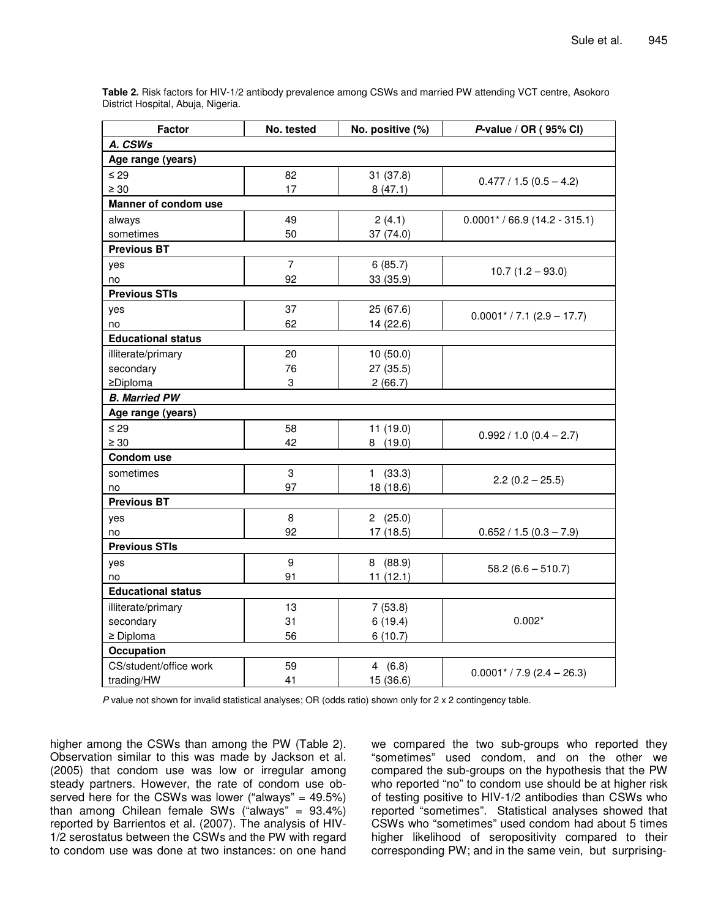**Table 2.** Risk factors for HIV-1/2 antibody prevalence among CSWs and married PW attending VCT centre, Asokoro District Hospital, Abuja, Nigeria.

| <b>Factor</b>             | No. tested     | No. positive (%) | P-value / $OR(95% CI)$                   |  |  |  |  |
|---------------------------|----------------|------------------|------------------------------------------|--|--|--|--|
| A. CSWs                   |                |                  |                                          |  |  |  |  |
| Age range (years)         |                |                  |                                          |  |  |  |  |
| $\leq 29$                 | 82             | 31(37.8)         |                                          |  |  |  |  |
| $\geq 30$                 | 17             | 8(47.1)          | $0.477 / 1.5 (0.5 - 4.2)$                |  |  |  |  |
| Manner of condom use      |                |                  |                                          |  |  |  |  |
| always                    | 49             | 2(4.1)           | $0.0001$ * / 66.9 (14.2 - 315.1)         |  |  |  |  |
| sometimes                 | 50             | 37(74.0)         |                                          |  |  |  |  |
| <b>Previous BT</b>        |                |                  |                                          |  |  |  |  |
| yes                       | $\overline{7}$ | 6(85.7)          |                                          |  |  |  |  |
| no                        | 92             | 33 (35.9)        | $10.7(1.2 - 93.0)$                       |  |  |  |  |
| <b>Previous STIs</b>      |                |                  |                                          |  |  |  |  |
| yes                       | 37             | 25 (67.6)        |                                          |  |  |  |  |
| no                        | 62             | 14 (22.6)        | $0.0001$ <sup>*</sup> / 7.1 (2.9 – 17.7) |  |  |  |  |
| <b>Educational status</b> |                |                  |                                          |  |  |  |  |
| illiterate/primary        | 20             | 10(50.0)         |                                          |  |  |  |  |
| secondary                 | 76             | 27 (35.5)        |                                          |  |  |  |  |
| ≥Diploma                  | 3              | 2(66.7)          |                                          |  |  |  |  |
| <b>B.</b> Married PW      |                |                  |                                          |  |  |  |  |
| Age range (years)         |                |                  |                                          |  |  |  |  |
| $\leq 29$                 | 58             | 11(19.0)         |                                          |  |  |  |  |
| $\geq 30$                 | 42             | 8(19.0)          | $0.992 / 1.0 (0.4 - 2.7)$                |  |  |  |  |
| Condom use                |                |                  |                                          |  |  |  |  |
| sometimes                 | 3              | 1(33.3)          |                                          |  |  |  |  |
| no                        | 97             | 18 (18.6)        | $2.2(0.2 - 25.5)$                        |  |  |  |  |
| <b>Previous BT</b>        |                |                  |                                          |  |  |  |  |
| yes                       | 8              | 2(25.0)          |                                          |  |  |  |  |
| no                        | 92             | 17(18.5)         | $0.652 / 1.5 (0.3 - 7.9)$                |  |  |  |  |
| <b>Previous STIs</b>      |                |                  |                                          |  |  |  |  |
| yes                       | 9              | 8(88.9)          |                                          |  |  |  |  |
| no                        | 91             | 11(12.1)         | $58.2(6.6 - 510.7)$                      |  |  |  |  |
| <b>Educational status</b> |                |                  |                                          |  |  |  |  |
| illiterate/primary        | 13             | 7(53.8)          |                                          |  |  |  |  |
| secondary                 | 31             | 6(19.4)          | $0.002*$                                 |  |  |  |  |
| $\geq$ Diploma            | 56             | 6(10.7)          |                                          |  |  |  |  |
| Occupation                |                |                  |                                          |  |  |  |  |
| CS/student/office work    | 59             | 4(6.8)           | $0.0001$ <sup>*</sup> / 7.9 (2.4 – 26.3) |  |  |  |  |
| trading/HW                | 41             | 15 (36.6)        |                                          |  |  |  |  |

*P* value not shown for invalid statistical analyses; OR (odds ratio) shown only for 2 x 2 contingency table.

higher among the CSWs than among the PW (Table 2). Observation similar to this was made by Jackson et al*.* (2005) that condom use was low or irregular among steady partners. However, the rate of condom use observed here for the CSWs was lower ("always" =  $49.5\%$ ) than among Chilean female SWs ("always" = 93.4%) reported by Barrientos et al. (2007). The analysis of HIV-1/2 serostatus between the CSWs and the PW with regard to condom use was done at two instances: on one hand we compared the two sub-groups who reported they "sometimes" used condom, and on the other we compared the sub-groups on the hypothesis that the PW who reported "no" to condom use should be at higher risk of testing positive to HIV-1/2 antibodies than CSWs who reported "sometimes". Statistical analyses showed that CSWs who "sometimes" used condom had about 5 times higher likelihood of seropositivity compared to their corresponding PW; and in the same vein, but surprising-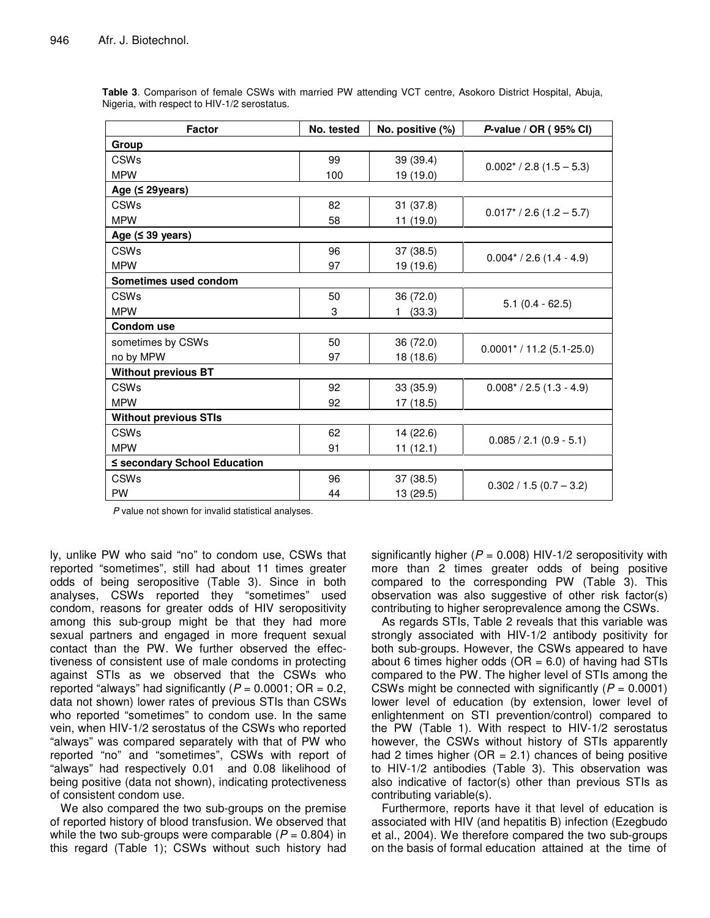| <b>Factor</b>                | No. tested | No. positive (%) | P-value / OR (95% CI)                  |  |  |
|------------------------------|------------|------------------|----------------------------------------|--|--|
| Group                        |            |                  |                                        |  |  |
| <b>CSWs</b>                  | 99         | 39 (39.4)        |                                        |  |  |
| <b>MPW</b>                   | 100        | 19 (19.0)        | $0.002$ <sup>*</sup> / 2.8 (1.5 – 5.3) |  |  |
| Age $(≤ 29$ years)           |            |                  |                                        |  |  |
| CSWs                         | 82         | 31(37.8)         | $0.017$ <sup>*</sup> / 2.6 (1.2 – 5.7) |  |  |
| <b>MPW</b>                   | 58         | 11 (19.0)        |                                        |  |  |
| Age $(539 \text{ years})$    |            |                  |                                        |  |  |
| <b>CSWs</b>                  | 96         | 37 (38.5)        | $0.004* / 2.6(1.4 - 4.9)$              |  |  |
| <b>MPW</b>                   | 97         | 19 (19.6)        |                                        |  |  |
| Sometimes used condom        |            |                  |                                        |  |  |
| <b>CSWs</b>                  | 50         | 36 (72.0)        |                                        |  |  |
| <b>MPW</b>                   | 3          | (33.3)<br>1.     | $5.1$ (0.4 - 62.5)                     |  |  |
| <b>Condom use</b>            |            |                  |                                        |  |  |
| sometimes by CSWs            | 50         | 36 (72.0)        | $0.0001$ * / 11.2 (5.1-25.0)           |  |  |
| no by MPW                    | 97         | 18 (18.6)        |                                        |  |  |
| <b>Without previous BT</b>   |            |                  |                                        |  |  |
| <b>CSWs</b>                  | 92         | 33 (35.9)        | $0.008* / 2.5(1.3 - 4.9)$              |  |  |
| <b>MPW</b>                   | 92         | 17 (18.5)        |                                        |  |  |
| <b>Without previous STIs</b> |            |                  |                                        |  |  |
| <b>CSWs</b>                  | 62         | 14 (22.6)        |                                        |  |  |
| <b>MPW</b>                   | 91         | 11(12.1)         | $0.085 / 2.1 (0.9 - 5.1)$              |  |  |
| ≤ secondary School Education |            |                  |                                        |  |  |
| CSWs                         | 96         | 37(38.5)         | $0.302 / 1.5 (0.7 - 3.2)$              |  |  |
| <b>PW</b>                    | 44         | 13 (29.5)        |                                        |  |  |

**Table 3**. Comparison of female CSWs with married PW attending VCT centre, Asokoro District Hospital, Abuja, Nigeria, with respect to HIV-1/2 serostatus.

*P* value not shown for invalid statistical analyses.

ly, unlike PW who said "no" to condom use, CSWs that reported "sometimes", still had about 11 times greater odds of being seropositive (Table 3). Since in both analyses, CSWs reported they "sometimes" used condom, reasons for greater odds of HIV seropositivity among this sub-group might be that they had more sexual partners and engaged in more frequent sexual contact than the PW. We further observed the effectiveness of consistent use of male condoms in protecting against STIs as we observed that the CSWs who reported "always" had significantly  $(P = 0.0001; \text{ OR } = 0.2,$ data not shown) lower rates of previous STIs than CSWs who reported "sometimes" to condom use. In the same vein, when HIV-1/2 serostatus of the CSWs who reported "always" was compared separately with that of PW who reported "no" and "sometimes", CSWs with report of "always" had respectively 0.01 and 0.08 likelihood of being positive (data not shown), indicating protectiveness of consistent condom use.

We also compared the two sub-groups on the premise of reported history of blood transfusion. We observed that while the two sub-groups were comparable  $(P = 0.804)$  in this regard (Table 1); CSWs without such history had significantly higher  $(P = 0.008)$  HIV-1/2 seropositivity with more than 2 times greater odds of being positive compared to the corresponding PW (Table 3). This observation was also suggestive of other risk factor(s) contributing to higher seroprevalence among the CSWs.

As regards STIs, Table 2 reveals that this variable was strongly associated with HIV-1/2 antibody positivity for both sub-groups. However, the CSWs appeared to have about 6 times higher odds ( $OR = 6.0$ ) of having had STIs compared to the PW. The higher level of STIs among the CSWs might be connected with significantly  $(P = 0.0001)$ lower level of education (by extension, lower level of enlightenment on STI prevention/control) compared to the PW (Table 1). With respect to HIV-1/2 serostatus however, the CSWs without history of STIs apparently had 2 times higher ( $OR = 2.1$ ) chances of being positive to HIV-1/2 antibodies (Table 3). This observation was also indicative of factor(s) other than previous STIs as contributing variable(s).

Furthermore, reports have it that level of education is associated with HIV (and hepatitis B) infection (Ezegbudo et al., 2004). We therefore compared the two sub-groups on the basis of formal education attained at the time of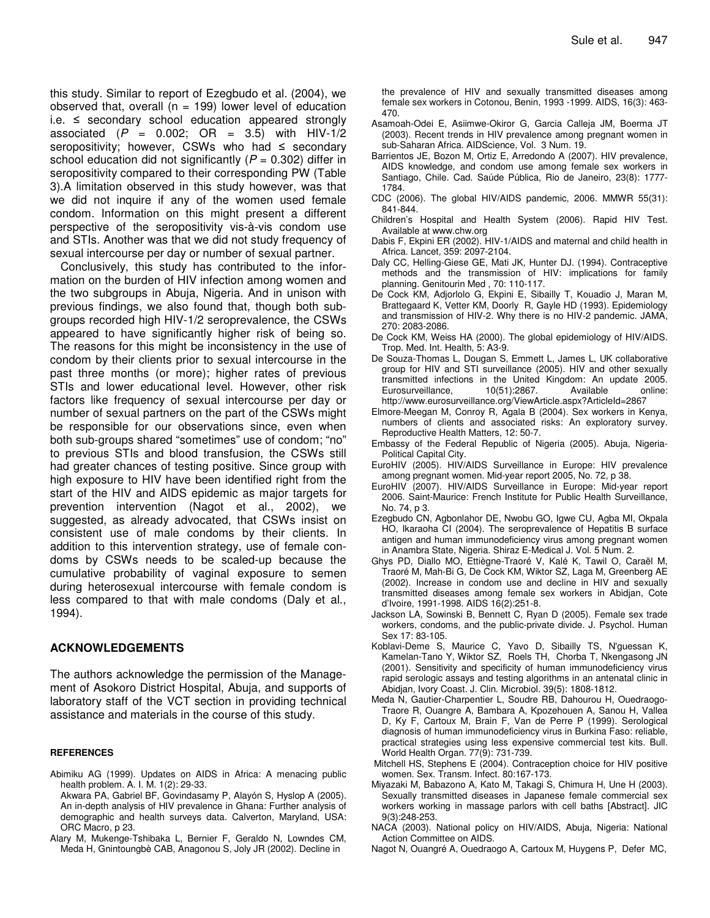this study. Similar to report of Ezegbudo et al. (2004), we observed that, overall ( $n = 199$ ) lower level of education i.e. ≤ secondary school education appeared strongly associated  $(P = 0.002; \text{ OR } = 3.5)$  with HIV-1/2 seropositivity; however, CSWs who had  $\leq$  secondary school education did not significantly  $(P = 0.302)$  differ in seropositivity compared to their corresponding PW (Table 3).A limitation observed in this study however, was that we did not inquire if any of the women used female condom. Information on this might present a different perspective of the seropositivity vis-à-vis condom use and STIs. Another was that we did not study frequency of sexual intercourse per day or number of sexual partner.

Conclusively, this study has contributed to the information on the burden of HIV infection among women and the two subgroups in Abuja, Nigeria. And in unison with previous findings, we also found that, though both subgroups recorded high HIV-1/2 seroprevalence, the CSWs appeared to have significantly higher risk of being so. The reasons for this might be inconsistency in the use of condom by their clients prior to sexual intercourse in the past three months (or more); higher rates of previous STIs and lower educational level. However, other risk factors like frequency of sexual intercourse per day or number of sexual partners on the part of the CSWs might be responsible for our observations since, even when both sub-groups shared "sometimes" use of condom; "no" to previous STIs and blood transfusion, the CSWs still had greater chances of testing positive. Since group with high exposure to HIV have been identified right from the start of the HIV and AIDS epidemic as major targets for prevention intervention (Nagot et al., 2002), we suggested, as already advocated, that CSWs insist on consistent use of male condoms by their clients. In addition to this intervention strategy, use of female condoms by CSWs needs to be scaled-up because the cumulative probability of vaginal exposure to semen during heterosexual intercourse with female condom is less compared to that with male condoms (Daly et al., 1994).

## **ACKNOWLEDGEMENTS**

The authors acknowledge the permission of the Management of Asokoro District Hospital, Abuja, and supports of laboratory staff of the VCT section in providing technical assistance and materials in the course of this study.

### **REFERENCES**

- Abimiku AG (1999). Updates on AIDS in Africa: A menacing public health problem. A. I. M. 1(2): 29-33.
- Akwara PA, Gabriel BF, Govindasamy P, Alayón S, Hyslop A (2005). An in-depth analysis of HIV prevalence in Ghana: Further analysis of demographic and health surveys data. Calverton, Maryland, USA: ORC Macro, p 23.
- Alary M, Mukenge-Tshibaka L, Bernier F, Geraldo N, Lowndes CM, Meda H, Gnintoungbè CAB, Anagonou S, Joly JR (2002). Decline in

the prevalence of HIV and sexually transmitted diseases among female sex workers in Cotonou, Benin, 1993 -1999. AIDS, 16(3): 463- 470.

- Asamoah-Odei E, Asiimwe-Okiror G, Garcia Calleja JM, Boerma JT (2003). Recent trends in HIV prevalence among pregnant women in sub-Saharan Africa. AIDScience, Vol. 3 Num. 19.
- Barrientos JE, Bozon M, Ortiz E, Arredondo A (2007). HIV prevalence, AIDS knowledge, and condom use among female sex workers in Santiago, Chile. Cad. Saúde Pública, Rio de Janeiro, 23(8): 1777- 1784.
- CDC (2006). The global HIV/AIDS pandemic, 2006. MMWR 55(31): 841-844.
- Children's Hospital and Health System (2006). Rapid HIV Test. Available at www.chw.org
- Dabis F, Ekpini ER (2002). HIV-1/AIDS and maternal and child health in Africa. Lancet*,* 359: 2097-2104.
- Daly CC, Helling-Giese GE, Mati JK, Hunter DJ. (1994). Contraceptive methods and the transmission of HIV: implications for family planning. Genitourin Med , 70: 110-117.
- De Cock KM, Adjorlolo G, Ekpini E, Sibailly T, Kouadio J, Maran M, Brattegaard K, Vetter KM, Doorly R, Gayle HD (1993). Epidemiology and transmission of HIV-2. Why there is no HIV-2 pandemic. JAMA, 270: 2083-2086.
- De Cock KM, Weiss HA (2000). The global epidemiology of HIV/AIDS. Trop. Med. Int. Health, 5: A3-9.
- De Souza-Thomas L, Dougan S, Emmett L, James L, UK collaborative group for HIV and STI surveillance (2005). HIV and other sexually transmitted infections in the United Kingdom: An update 2005. Eurosurveillance, 10(51):2867. Available online: http://www.eurosurveillance.org/ViewArticle.aspx?ArticleId=2867
- Elmore-Meegan M, Conroy R, Agala B (2004). Sex workers in Kenya, numbers of clients and associated risks: An exploratory survey. Reproductive Health Matters, 12: 50-7.
- Embassy of the Federal Republic of Nigeria (2005). Abuja, Nigeria-Political Capital City.
- EuroHIV (2005). HIV/AIDS Surveillance in Europe: HIV prevalence among pregnant women. Mid-year report 2005, No. 72, p 38.
- EuroHIV (2007). HIV/AIDS Surveillance in Europe: Mid-year report 2006. Saint-Maurice: French Institute for Public Health Surveillance, No. 74, p 3.
- Ezegbudo CN, Agbonlahor DE, Nwobu GO, Igwe CU, Agba MI, Okpala HO, Ikaraoha CI (2004). The seroprevalence of Hepatitis B surface antigen and human immunodeficiency virus among pregnant women in Anambra State, Nigeria. Shiraz E-Medical J. Vol. 5 Num. 2.
- Ghys PD, Diallo MO, Ettiègne-Traoré V, Kalé K, Tawil O, Caraël M, Traoré M, Mah-Bi G, De Cock KM, Wiktor SZ, Laga M, Greenberg AE (2002). Increase in condom use and decline in HIV and sexually transmitted diseases among female sex workers in Abidjan, Cote d'Ivoire, 1991-1998. AIDS 16(2):251-8.
- Jackson LA, Sowinski B, Bennett C, Ryan D (2005). Female sex trade workers, condoms, and the public-private divide. J. Psychol. Human Sex 17: 83-105.
- Koblavi-Deme S, Maurice C, Yavo D, Sibailly TS, N'guessan K, Kamelan-Tano Y, Wiktor SZ, Roels TH, Chorba T, Nkengasong JN (2001). Sensitivity and specificity of human immunodeficiency virus rapid serologic assays and testing algorithms in an antenatal clinic in Abidjan, Ivory Coast. J. Clin. Microbiol*.* 39(5): 1808-1812.
- Meda N, Gautier-Charpentier L, Soudre RB, Dahourou H, Ouedraogo-Traore R, Ouangre A, Bambara A, Kpozehouen A, Sanou H, Vallea D, Ky F, Cartoux M, Brain F, Van de Perre P (1999). Serological diagnosis of human immunodeficiency virus in Burkina Faso: reliable, practical strategies using less expensive commercial test kits. Bull. World Health Organ. 77(9): 731-739.
- Mitchell HS, Stephens E (2004). Contraception choice for HIV positive women. Sex. Transm. Infect. 80:167-173.
- Miyazaki M, Babazono A, Kato M, Takagi S, Chimura H, Une H (2003). Sexually transmitted diseases in Japanese female commercial sex workers working in massage parlors with cell baths [Abstract]. JIC 9(3):248-253.
- NACA (2003). National policy on HIV/AIDS, Abuja, Nigeria: National Action Committee on AIDS.
- Nagot N, Ouangré A, Ouedraogo A, Cartoux M, Huygens P, Defer MC,